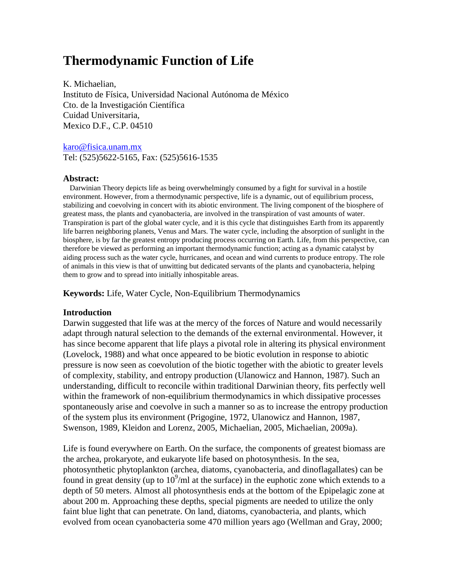# **Thermodynamic Function of Life**

K. Michaelian, Instituto de Física, Universidad Nacional Autónoma de México Cto. de la Investigación Científica Cuidad Universitaria, Mexico D.F., C.P. 04510

[karo@fisica.unam.mx](mailto:karo@fisica.unam.mx) Tel: (525)5622-5165, Fax: (525)5616-1535

### **Abstract:**

Darwinian Theory depicts life as being overwhelmingly consumed by a fight for survival in a hostile environment. However, from a thermodynamic perspective, life is a dynamic, out of equilibrium process, stabilizing and coevolving in concert with its abiotic environment. The living component of the biosphere of greatest mass, the plants and cyanobacteria, are involved in the transpiration of vast amounts of water. Transpiration is part of the global water cycle, and it is this cycle that distinguishes Earth from its apparently life barren neighboring planets, Venus and Mars. The water cycle, including the absorption of sunlight in the biosphere, is by far the greatest entropy producing process occurring on Earth. Life, from this perspective, can therefore be viewed as performing an important thermodynamic function; acting as a dynamic catalyst by aiding process such as the water cycle, hurricanes, and ocean and wind currents to produce entropy. The role of animals in this view is that of unwitting but dedicated servants of the plants and cyanobacteria, helping them to grow and to spread into initially inhospitable areas.

**Keywords:** Life, Water Cycle, Non-Equilibrium Thermodynamics

### **Introduction**

Darwin suggested that life was at the mercy of the forces of Nature and would necessarily adapt through natural selection to the demands of the external environmental. However, it has since become apparent that life plays a pivotal role in altering its physical environment (Lovelock, 1988) and what once appeared to be biotic evolution in response to abiotic pressure is now seen as coevolution of the biotic together with the abiotic to greater levels of complexity, stability, and entropy production (Ulanowicz and Hannon, 1987). Such an understanding, difficult to reconcile within traditional Darwinian theory, fits perfectly well within the framework of non-equilibrium thermodynamics in which dissipative processes spontaneously arise and coevolve in such a manner so as to increase the entropy production of the system plus its environment (Prigogine, 1972, Ulanowicz and Hannon, 1987, Swenson, 1989, Kleidon and Lorenz, 2005, Michaelian, 2005, Michaelian, 2009a).

Life is found everywhere on Earth. On the surface, the components of greatest biomass are the archea, prokaryote, and eukaryote life based on photosynthesis. In the sea, photosynthetic phytoplankton (archea, diatoms, cyanobacteria, and dinoflagallates) can be found in great density (up to  $10^9$ /ml at the surface) in the euphotic zone which extends to a depth of 50 meters. Almost all photosynthesis ends at the bottom of the Epipelagic zone at about 200 m. Approaching these depths, special pigments are needed to utilize the only faint blue light that can penetrate. On land, diatoms, cyanobacteria, and plants, which evolved from ocean cyanobacteria some 470 million years ago (Wellman and Gray, 2000;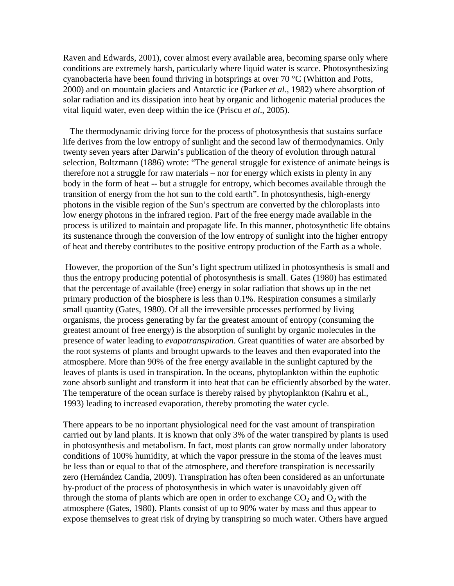Raven and Edwards, 2001), cover almost every available area, becoming sparse only where conditions are extremely harsh, particularly where liquid water is scarce. Photosynthesizing cyanobacteria have been found thriving in hotsprings at over 70 °C (Whitton and Potts, 2000) and on mountain glaciers and Antarctic ice (Parker *et al*., 1982) where absorption of solar radiation and its dissipation into heat by organic and lithogenic material produces the vital liquid water, even deep within the ice (Priscu *et al*., 2005).

 The thermodynamic driving force for the process of photosynthesis that sustains surface life derives from the low entropy of sunlight and the second law of thermodynamics. Only twenty seven years after Darwin's publication of the theory of evolution through natural selection, Boltzmann (1886) wrote: "The general struggle for existence of animate beings is therefore not a struggle for raw materials – nor for energy which exists in plenty in any body in the form of heat -- but a struggle for entropy, which becomes available through the transition of energy from the hot sun to the cold earth". In photosynthesis, high-energy photons in the visible region of the Sun's spectrum are converted by the chloroplasts into low energy photons in the infrared region. Part of the free energy made available in the process is utilized to maintain and propagate life. In this manner, photosynthetic life obtains its sustenance through the conversion of the low entropy of sunlight into the higher entropy of heat and thereby contributes to the positive entropy production of the Earth as a whole.

 However, the proportion of the Sun's light spectrum utilized in photosynthesis is small and thus the entropy producing potential of photosynthesis is small. Gates (1980) has estimated that the percentage of available (free) energy in solar radiation that shows up in the net primary production of the biosphere is less than 0.1%. Respiration consumes a similarly small quantity (Gates, 1980). Of all the irreversible processes performed by living organisms, the process generating by far the greatest amount of entropy (consuming the greatest amount of free energy) is the absorption of sunlight by organic molecules in the presence of water leading to *evapotranspiration*. Great quantities of water are absorbed by the root systems of plants and brought upwards to the leaves and then evaporated into the atmosphere. More than 90% of the free energy available in the sunlight captured by the leaves of plants is used in transpiration. In the oceans, phytoplankton within the euphotic zone absorb sunlight and transform it into heat that can be efficiently absorbed by the water. The temperature of the ocean surface is thereby raised by phytoplankton (Kahru et al., 1993) leading to increased evaporation, thereby promoting the water cycle.

There appears to be no inportant physiological need for the vast amount of transpiration carried out by land plants. It is known that only 3% of the water transpired by plants is used in photosynthesis and metabolism. In fact, most plants can grow normally under laboratory conditions of 100% humidity, at which the vapor pressure in the stoma of the leaves must be less than or equal to that of the atmosphere, and therefore transpiration is necessarily zero (Hernández Candia, 2009). Transpiration has often been considered as an unfortunate by-product of the process of photosynthesis in which water is unavoidably given off through the stoma of plants which are open in order to exchange  $CO<sub>2</sub>$  and  $O<sub>2</sub>$  with the atmosphere (Gates, 1980). Plants consist of up to 90% water by mass and thus appear to expose themselves to great risk of drying by transpiring so much water. Others have argued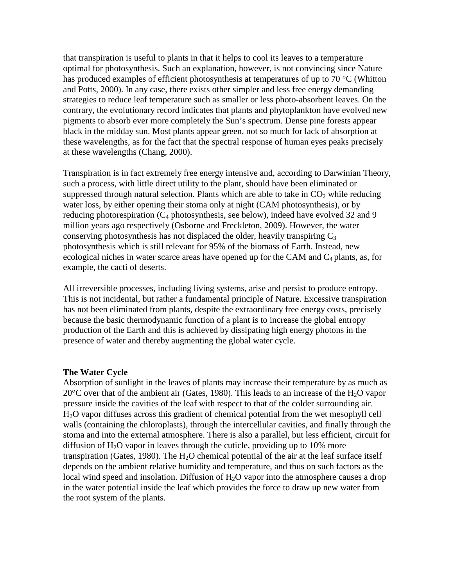that transpiration is useful to plants in that it helps to cool its leaves to a temperature optimal for photosynthesis. Such an explanation, however, is not convincing since Nature has produced examples of efficient photosynthesis at temperatures of up to 70 °C (Whitton and Potts, 2000). In any case, there exists other simpler and less free energy demanding strategies to reduce leaf temperature such as smaller or less photo-absorbent leaves. On the contrary, the evolutionary record indicates that plants and phytoplankton have evolved new pigments to absorb ever more completely the Sun's spectrum. Dense pine forests appear black in the midday sun. Most plants appear green, not so much for lack of absorption at these wavelengths, as for the fact that the spectral response of human eyes peaks precisely at these wavelengths (Chang, 2000).

Transpiration is in fact extremely free energy intensive and, according to Darwinian Theory, such a process, with little direct utility to the plant, should have been eliminated or suppressed through natural selection. Plants which are able to take in  $CO<sub>2</sub>$  while reducing water loss, by either opening their stoma only at night (CAM photosynthesis), or by reducing photorespiration  $(C_4$  photosynthesis, see below), indeed have evolved 32 and 9 million years ago respectively (Osborne and Freckleton, 2009). However, the water conserving photosynthesis has not displaced the older, heavily transpiring  $C_3$ photosynthesis which is still relevant for 95% of the biomass of Earth. Instead, new ecological niches in water scarce areas have opened up for the CAM and  $C_4$  plants, as, for example, the cacti of deserts.

All irreversible processes, including living systems, arise and persist to produce entropy. This is not incidental, but rather a fundamental principle of Nature. Excessive transpiration has not been eliminated from plants, despite the extraordinary free energy costs, precisely because the basic thermodynamic function of a plant is to increase the global entropy production of the Earth and this is achieved by dissipating high energy photons in the presence of water and thereby augmenting the global water cycle.

# **The Water Cycle**

Absorption of sunlight in the leaves of plants may increase their temperature by as much as 20 $\degree$ C over that of the ambient air (Gates, 1980). This leads to an increase of the H<sub>2</sub>O vapor pressure inside the cavities of the leaf with respect to that of the colder surrounding air. H2O vapor diffuses across this gradient of chemical potential from the wet mesophyll cell walls (containing the chloroplasts), through the intercellular cavities, and finally through the stoma and into the external atmosphere. There is also a parallel, but less efficient, circuit for diffusion of  $H_2O$  vapor in leaves through the cuticle, providing up to 10% more transpiration (Gates, 1980). The  $H_2O$  chemical potential of the air at the leaf surface itself depends on the ambient relative humidity and temperature, and thus on such factors as the local wind speed and insolation. Diffusion of H<sub>2</sub>O vapor into the atmosphere causes a drop in the water potential inside the leaf which provides the force to draw up new water from the root system of the plants.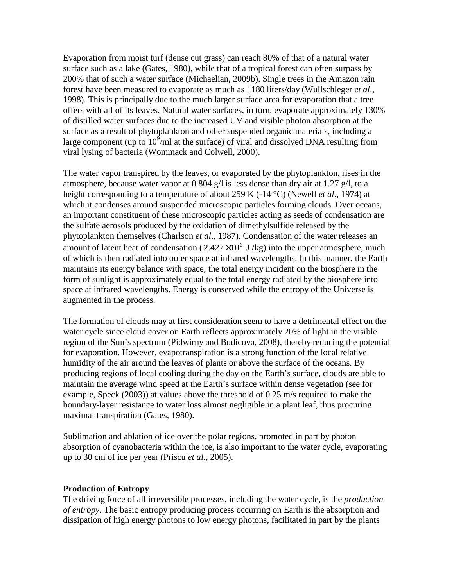Evaporation from moist turf (dense cut grass) can reach 80% of that of a natural water surface such as a lake (Gates, 1980), while that of a tropical forest can often surpass by 200% that of such a water surface (Michaelian, 2009b). Single trees in the Amazon rain forest have been measured to evaporate as much as 1180 liters/day (Wullschleger *et al*., 1998). This is principally due to the much larger surface area for evaporation that a tree offers with all of its leaves. Natural water surfaces, in turn, evaporate approximately 130% of distilled water surfaces due to the increased UV and visible photon absorption at the surface as a result of phytoplankton and other suspended organic materials, including a large component (up to  $10^9$ /ml at the surface) of viral and dissolved DNA resulting from viral lysing of bacteria (Wommack and Colwell, 2000).

The water vapor transpired by the leaves, or evaporated by the phytoplankton, rises in the atmosphere, because water vapor at 0.804 g/l is less dense than dry air at 1.27 g/l, to a height corresponding to a temperature of about 259 K (-14 °C) (Newell *et al*., 1974) at which it condenses around suspended microscopic particles forming clouds. Over oceans, an important constituent of these microscopic particles acting as seeds of condensation are the sulfate aerosols produced by the oxidation of dimethylsulfide released by the phytoplankton themselves (Charlson *et al*., 1987). Condensation of the water releases an amount of latent heat of condensation ( $2.427 \times 10^6$  J/kg) into the upper atmosphere, much of which is then radiated into outer space at infrared wavelengths. In this manner, the Earth maintains its energy balance with space; the total energy incident on the biosphere in the form of sunlight is approximately equal to the total energy radiated by the biosphere into space at infrared wavelengths. Energy is conserved while the entropy of the Universe is augmented in the process.

The formation of clouds may at first consideration seem to have a detrimental effect on the water cycle since cloud cover on Earth reflects approximately 20% of light in the visible region of the Sun's spectrum (Pidwirny and Budicova, 2008), thereby reducing the potential for evaporation. However, evapotranspiration is a strong function of the local relative humidity of the air around the leaves of plants or above the surface of the oceans. By producing regions of local cooling during the day on the Earth's surface, clouds are able to maintain the average wind speed at the Earth's surface within dense vegetation (see for example, Speck (2003)) at values above the threshold of 0.25 m/s required to make the boundary-layer resistance to water loss almost negligible in a plant leaf, thus procuring maximal transpiration (Gates, 1980).

Sublimation and ablation of ice over the polar regions, promoted in part by photon absorption of cyanobacteria within the ice, is also important to the water cycle, evaporating up to 30 cm of ice per year (Priscu *et al*., 2005).

# **Production of Entropy**

The driving force of all irreversible processes, including the water cycle, is the *production of entropy*. The basic entropy producing process occurring on Earth is the absorption and dissipation of high energy photons to low energy photons, facilitated in part by the plants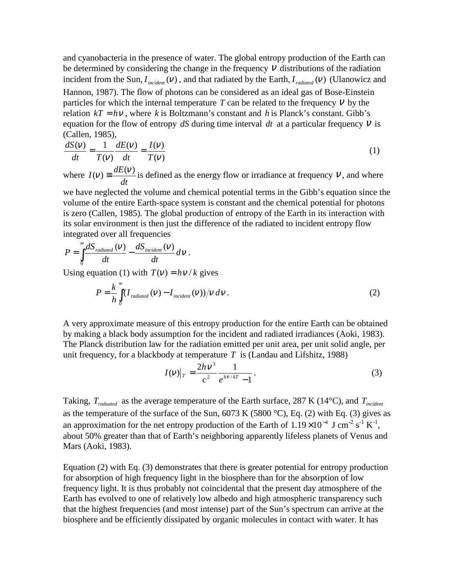and cyanobacteria in the presence of water. The global entropy production of the Earth can be determined by considering the change in the frequency  $V$  distributions of the radiation incident from the Sun,  $I_{\text{incident}}(v)$ , and that radiated by the Earth,  $I_{\text{radiated}}(v)$  (Ulanowicz and Hannon, 1987). The flow of photons can be considered as an ideal gas of Bose-Einstein particles for which the internal temperature  $T$  can be related to the frequency  $V$  by the relation  $kT = h\nu$ , where *k* is Boltzmann's constant and *h* is Planck's constant. Gibb's equation for the flow of entropy  $dS$  during time interval  $dt$  at a particular frequency  $V$  is (Callen, 1985),

$$
\frac{dS(v)}{dt} = \frac{1}{T(v)} \frac{dE(v)}{dt} = \frac{I(v)}{T(v)}
$$
(1)

where *dt*  $I(v) \equiv \frac{dE(v)}{dv}$  is defined as the energy flow or irradiance at frequency v, and where

we have neglected the volume and chemical potential terms in the Gibb's equation since the volume of the entire Earth-space system is constant and the chemical potential for photons is zero (Callen, 1985). The global production of entropy of the Earth in its interaction with its solar environment is then just the difference of the radiated to incident entropy flow integrated over all frequencies

.

$$
P = \int_{0}^{\infty} \frac{dS_{\text{radiated}}(V)}{dt} - \frac{dS_{\text{incident}}(V)}{dt} dV
$$

Using equation (1) with  $T(v) = h v / k$  gives

$$
P = \frac{k}{h} \int_{0}^{\infty} (I_{radiated}(V) - I_{incident}(V))/V \, dV \,. \tag{2}
$$

A very approximate measure of this entropy production for the entire Earth can be obtained by making a black body assumption for the incident and radiated irradiances (Aoki, 1983). The Planck distribution law for the radiation emitted per unit area, per unit solid angle, per unit frequency, for a blackbody at temperature *T* is (Landau and Lifshitz, 1988)

$$
I(v)|_{T} = \frac{2h v^{3}}{c^{2}} \frac{1}{e^{h v / kT} - 1}.
$$
 (3)

Taking,  $T_{raduated}$  as the average temperature of the Earth surface, 287 K (14<sup>o</sup>C), and  $T_{incident}$ as the temperature of the surface of the Sun,  $6073$  K (5800 °C), Eq. (2) with Eq. (3) gives as an approximation for the net entropy production of the Earth of  $1.19 \times 10^{-4}$  J cm<sup>-2</sup> s<sup>-1</sup> K<sup>-1</sup>, about 50% greater than that of Earth's neighboring apparently lifeless planets of Venus and Mars (Aoki, 1983).

Equation (2) with Eq. (3) demonstrates that there is greater potential for entropy production for absorption of high frequency light in the biosphere than for the absorption of low frequency light. It is thus probably not coincidental that the present day atmosphere of the Earth has evolved to one of relatively low albedo and high atmospheric transparency such that the highest frequencies (and most intense) part of the Sun's spectrum can arrive at the biosphere and be efficiently dissipated by organic molecules in contact with water. It has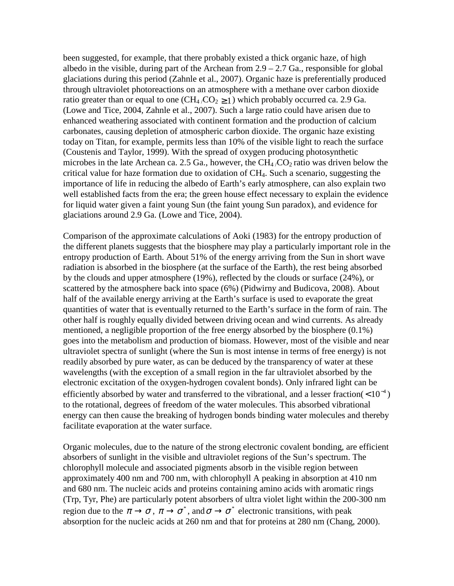been suggested, for example, that there probably existed a thick organic haze, of high albedo in the visible, during part of the Archean from  $2.9 - 2.7$  Ga., responsible for global glaciations during this period (Zahnle et al., 2007). Organic haze is preferentially produced through ultraviolet photoreactions on an atmosphere with a methane over carbon dioxide ratio greater than or equal to one  $(CH_4/CO_2 \ge 1)$  which probably occurred ca. 2.9 Ga. (Lowe and Tice, 2004, Zahnle et al., 2007). Such a large ratio could have arisen due to enhanced weathering associated with continent formation and the production of calcium carbonates, causing depletion of atmospheric carbon dioxide. The organic haze existing today on Titan, for example, permits less than 10% of the visible light to reach the surface (Coustenis and Taylor, 1999). With the spread of oxygen producing photosynthetic microbes in the late Archean ca. 2.5 Ga., however, the  $CH_4$   $CO_2$  ratio was driven below the critical value for haze formation due to oxidation of CH4. Such a scenario, suggesting the importance of life in reducing the albedo of Earth's early atmosphere, can also explain two well established facts from the era; the green house effect necessary to explain the evidence for liquid water given a faint young Sun (the faint young Sun paradox), and evidence for glaciations around 2.9 Ga. (Lowe and Tice, 2004).

Comparison of the approximate calculations of Aoki (1983) for the entropy production of the different planets suggests that the biosphere may play a particularly important role in the entropy production of Earth. About 51% of the energy arriving from the Sun in short wave radiation is absorbed in the biosphere (at the surface of the Earth), the rest being absorbed by the clouds and upper atmosphere (19%), reflected by the clouds or surface (24%), or scattered by the atmosphere back into space (6%) (Pidwirny and Budicova, 2008). About half of the available energy arriving at the Earth's surface is used to evaporate the great quantities of water that is eventually returned to the Earth's surface in the form of rain. The other half is roughly equally divided between driving ocean and wind currents. As already mentioned, a negligible proportion of the free energy absorbed by the biosphere (0.1%) goes into the metabolism and production of biomass. However, most of the visible and near ultraviolet spectra of sunlight (where the Sun is most intense in terms of free energy) is not readily absorbed by pure water, as can be deduced by the transparency of water at these wavelengths (with the exception of a small region in the far ultraviolet absorbed by the electronic excitation of the oxygen-hydrogen covalent bonds). Only infrared light can be efficiently absorbed by water and transferred to the vibrational, and a lesser fraction( $< 10^{-4}$ ) to the rotational, degrees of freedom of the water molecules. This absorbed vibrational energy can then cause the breaking of hydrogen bonds binding water molecules and thereby facilitate evaporation at the water surface.

Organic molecules, due to the nature of the strong electronic covalent bonding, are efficient absorbers of sunlight in the visible and ultraviolet regions of the Sun's spectrum. The chlorophyll molecule and associated pigments absorb in the visible region between approximately 400 nm and 700 nm, with chlorophyll A peaking in absorption at 410 nm and 680 nm. The nucleic acids and proteins containing amino acids with aromatic rings (Trp, Tyr, Phe) are particularly potent absorbers of ultra violet light within the 200-300 nm region due to the  $\pi \to \sigma$ ,  $\pi \to \sigma^*$ , and  $\sigma \to \sigma^*$  electronic transitions, with peak absorption for the nucleic acids at 260 nm and that for proteins at 280 nm (Chang, 2000).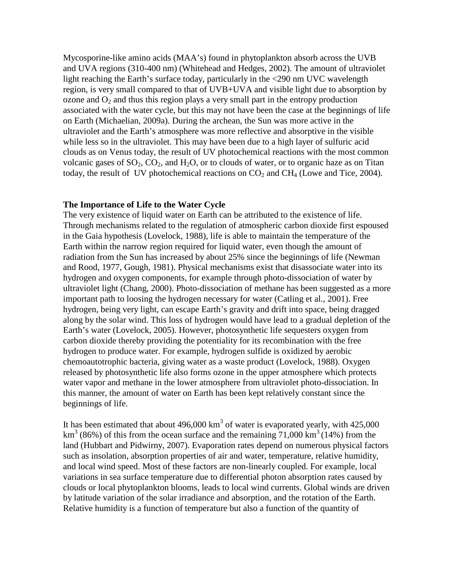Mycosporine-like amino acids (MAA's) found in phytoplankton absorb across the UVB and UVA regions (310-400 nm) (Whitehead and Hedges, 2002). The amount of ultraviolet light reaching the Earth's surface today, particularly in the <290 nm UVC wavelength region, is very small compared to that of UVB+UVA and visible light due to absorption by ozone and  $O_2$  and thus this region plays a very small part in the entropy production associated with the water cycle, but this may not have been the case at the beginnings of life on Earth (Michaelian, 2009a). During the archean, the Sun was more active in the ultraviolet and the Earth's atmosphere was more reflective and absorptive in the visible while less so in the ultraviolet. This may have been due to a high layer of sulfuric acid clouds as on Venus today, the result of UV photochemical reactions with the most common volcanic gases of  $SO_2$ ,  $CO_2$ , and  $H_2O$ , or to clouds of water, or to organic haze as on Titan today, the result of UV photochemical reactions on  $CO<sub>2</sub>$  and  $CH<sub>4</sub>$  (Lowe and Tice, 2004).

# **The Importance of Life to the Water Cycle**

The very existence of liquid water on Earth can be attributed to the existence of life. Through mechanisms related to the regulation of atmospheric carbon dioxide first espoused in the Gaia hypothesis (Lovelock, 1988), life is able to maintain the temperature of the Earth within the narrow region required for liquid water, even though the amount of radiation from the Sun has increased by about 25% since the beginnings of life (Newman and Rood, 1977, Gough, 1981). Physical mechanisms exist that disassociate water into its hydrogen and oxygen components, for example through photo-dissociation of water by ultraviolet light (Chang, 2000). Photo-dissociation of methane has been suggested as a more important path to loosing the hydrogen necessary for water (Catling et al., 2001). Free hydrogen, being very light, can escape Earth's gravity and drift into space, being dragged along by the solar wind. This loss of hydrogen would have lead to a gradual depletion of the Earth's water (Lovelock, 2005). However, photosynthetic life sequesters oxygen from carbon dioxide thereby providing the potentiality for its recombination with the free hydrogen to produce water. For example, hydrogen sulfide is oxidized by aerobic chemoautotrophic bacteria, giving water as a waste product (Lovelock, 1988). Oxygen released by photosynthetic life also forms ozone in the upper atmosphere which protects water vapor and methane in the lower atmosphere from ultraviolet photo-dissociation. In this manner, the amount of water on Earth has been kept relatively constant since the beginnings of life.

It has been estimated that about  $496,000 \text{ km}^3$  of water is evaporated yearly, with  $425,000$  $km<sup>3</sup>$  (86%) of this from the ocean surface and the remaining 71,000 km<sup>3</sup> (14%) from the land (Hubbart and Pidwirny, 2007). Evaporation rates depend on numerous physical factors such as insolation, absorption properties of air and water, temperature, relative humidity, and local wind speed. Most of these factors are non-linearly coupled. For example, local variations in sea surface temperature due to differential photon absorption rates caused by clouds or local phytoplankton blooms, leads to local wind currents. Global winds are driven by latitude variation of the solar irradiance and absorption, and the rotation of the Earth. Relative humidity is a function of temperature but also a function of the quantity of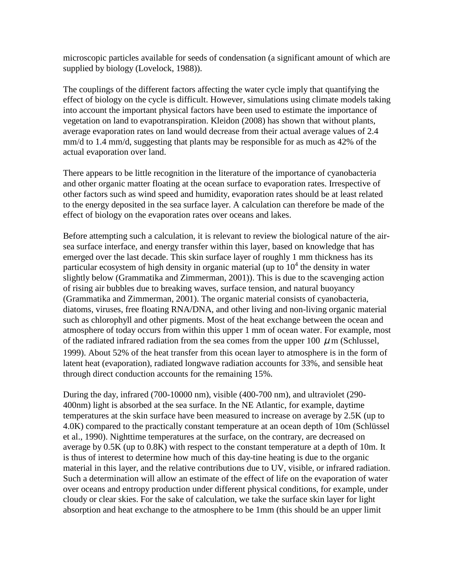microscopic particles available for seeds of condensation (a significant amount of which are supplied by biology (Lovelock, 1988)).

The couplings of the different factors affecting the water cycle imply that quantifying the effect of biology on the cycle is difficult. However, simulations using climate models taking into account the important physical factors have been used to estimate the importance of vegetation on land to evapotranspiration. Kleidon (2008) has shown that without plants, average evaporation rates on land would decrease from their actual average values of 2.4 mm/d to 1.4 mm/d, suggesting that plants may be responsible for as much as 42% of the actual evaporation over land.

There appears to be little recognition in the literature of the importance of cyanobacteria and other organic matter floating at the ocean surface to evaporation rates. Irrespective of other factors such as wind speed and humidity, evaporation rates should be at least related to the energy deposited in the sea surface layer. A calculation can therefore be made of the effect of biology on the evaporation rates over oceans and lakes.

Before attempting such a calculation, it is relevant to review the biological nature of the airsea surface interface, and energy transfer within this layer, based on knowledge that has emerged over the last decade. This skin surface layer of roughly 1 mm thickness has its particular ecosystem of high density in organic material (up to  $10<sup>4</sup>$  the density in water slightly below (Grammatika and Zimmerman, 2001)). This is due to the scavenging action of rising air bubbles due to breaking waves, surface tension, and natural buoyancy (Grammatika and Zimmerman, 2001). The organic material consists of cyanobacteria, diatoms, viruses, free floating RNA/DNA, and other living and non-living organic material such as chlorophyll and other pigments. Most of the heat exchange between the ocean and atmosphere of today occurs from within this upper 1 mm of ocean water. For example, most of the radiated infrared radiation from the sea comes from the upper 100  $\mu$  m (Schlussel, 1999). About 52% of the heat transfer from this ocean layer to atmosphere is in the form of latent heat (evaporation), radiated longwave radiation accounts for 33%, and sensible heat through direct conduction accounts for the remaining 15%.

During the day, infrared (700-10000 nm), visible (400-700 nm), and ultraviolet (290- 400nm) light is absorbed at the sea surface. In the NE Atlantic, for example, daytime temperatures at the skin surface have been measured to increase on average by 2.5K (up to 4.0K) compared to the practically constant temperature at an ocean depth of 10m (Schlüssel et al., 1990). Nighttime temperatures at the surface, on the contrary, are decreased on average by 0.5K (up to 0.8K) with respect to the constant temperature at a depth of 10m. It is thus of interest to determine how much of this day-tine heating is due to the organic material in this layer, and the relative contributions due to UV, visible, or infrared radiation. Such a determination will allow an estimate of the effect of life on the evaporation of water over oceans and entropy production under different physical conditions, for example, under cloudy or clear skies. For the sake of calculation, we take the surface skin layer for light absorption and heat exchange to the atmosphere to be 1mm (this should be an upper limit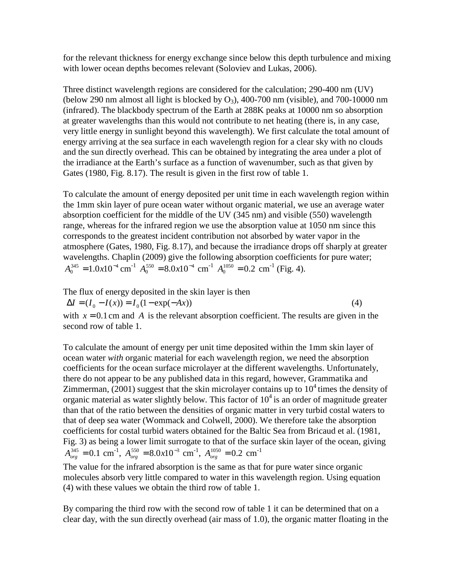for the relevant thickness for energy exchange since below this depth turbulence and mixing with lower ocean depths becomes relevant (Soloviev and Lukas, 2006).

Three distinct wavelength regions are considered for the calculation; 290-400 nm (UV) (below 290 nm almost all light is blocked by  $O_3$ ), 400-700 nm (visible), and 700-10000 nm (infrared). The blackbody spectrum of the Earth at 288K peaks at 10000 nm so absorption at greater wavelengths than this would not contribute to net heating (there is, in any case, very little energy in sunlight beyond this wavelength). We first calculate the total amount of energy arriving at the sea surface in each wavelength region for a clear sky with no clouds and the sun directly overhead. This can be obtained by integrating the area under a plot of the irradiance at the Earth's surface as a function of wavenumber, such as that given by Gates (1980, Fig. 8.17). The result is given in the first row of table 1.

To calculate the amount of energy deposited per unit time in each wavelength region within the 1mm skin layer of pure ocean water without organic material, we use an average water absorption coefficient for the middle of the UV (345 nm) and visible (550) wavelength range, whereas for the infrared region we use the absorption value at 1050 nm since this corresponds to the greatest incident contribution not absorbed by water vapor in the atmosphere (Gates, 1980, Fig. 8.17), and because the irradiance drops off sharply at greater wavelengths. Chaplin (2009) give the following absorption coefficients for pure water;  $A_0^{345} = 1.0 \times 10^{-4}$  cm<sup>-1</sup>  $A_0^{550} = 8.0 \times 10^{-4}$  cm<sup>-1</sup>  $A_0^{1050} = 0.2$  cm<sup>-1</sup> (Fig. 4).

The flux of energy deposited in the skin layer is then

 $\Delta I = (I_0 - I(x)) = I_0(1 - \exp(-Ax))$  (4)

with  $x = 0.1$  cm and A is the relevant absorption coefficient. The results are given in the second row of table 1.

To calculate the amount of energy per unit time deposited within the 1mm skin layer of ocean water *with* organic material for each wavelength region, we need the absorption coefficients for the ocean surface microlayer at the different wavelengths. Unfortunately, there do not appear to be any published data in this regard, however, Grammatika and Zimmerman, (2001) suggest that the skin microlayer contains up to  $10^4$  times the density of organic material as water slightly below. This factor of  $10<sup>4</sup>$  is an order of magnitude greater than that of the ratio between the densities of organic matter in very turbid costal waters to that of deep sea water (Wommack and Colwell, 2000). We therefore take the absorption coefficients for costal turbid waters obtained for the Baltic Sea from Bricaud et al. (1981, Fig. 3) as being a lower limit surrogate to that of the surface skin layer of the ocean, giving  $A_{org}^{345} = 0.1$  cm<sup>-1</sup>,  $A_{org}^{550} = 8.0 \times 10^{-3}$  cm<sup>-1</sup>,  $A_{org}^{1050} = 0.2$  cm<sup>-1</sup>

The value for the infrared absorption is the same as that for pure water since organic molecules absorb very little compared to water in this wavelength region. Using equation (4) with these values we obtain the third row of table 1.

By comparing the third row with the second row of table 1 it can be determined that on a clear day, with the sun directly overhead (air mass of 1.0), the organic matter floating in the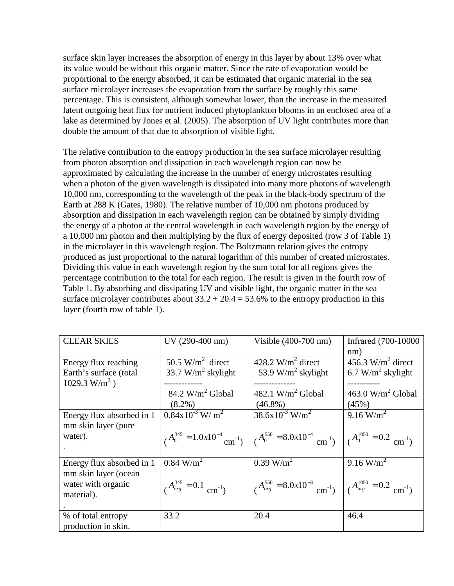surface skin layer increases the absorption of energy in this layer by about 13% over what its value would be without this organic matter. Since the rate of evaporation would be proportional to the energy absorbed, it can be estimated that organic material in the sea surface microlayer increases the evaporation from the surface by roughly this same percentage. This is consistent, although somewhat lower, than the increase in the measured latent outgoing heat flux for nutrient induced phytoplankton blooms in an enclosed area of a lake as determined by Jones et al. (2005). The absorption of UV light contributes more than double the amount of that due to absorption of visible light.

The relative contribution to the entropy production in the sea surface microlayer resulting from photon absorption and dissipation in each wavelength region can now be approximated by calculating the increase in the number of energy microstates resulting when a photon of the given wavelength is dissipated into many more photons of wavelength 10,000 nm, corresponding to the wavelength of the peak in the black-body spectrum of the Earth at 288 K (Gates, 1980). The relative number of 10,000 nm photons produced by absorption and dissipation in each wavelength region can be obtained by simply dividing the energy of a photon at the central wavelength in each wavelength region by the energy of a 10,000 nm photon and then multiplying by the flux of energy deposited (row 3 of Table 1) in the microlayer in this wavelength region. The Boltzmann relation gives the entropy produced as just proportional to the natural logarithm of this number of created microstates. Dividing this value in each wavelength region by the sum total for all regions gives the percentage contribution to the total for each region. The result is given in the fourth row of Table 1. By absorbing and dissipating UV and visible light, the organic matter in the sea surface microlayer contributes about  $33.2 + 20.4 = 53.6\%$  to the entropy production in this layer (fourth row of table 1).

| <b>CLEAR SKIES</b>          | UV (290-400 nm)                              | Visible $(400-700$ nm)                           | Infrared (700-10000                       |
|-----------------------------|----------------------------------------------|--------------------------------------------------|-------------------------------------------|
|                             |                                              |                                                  | nm)                                       |
| Energy flux reaching        | 50.5 W/m <sup>2</sup> direct                 | 428.2 W/m <sup>2</sup> direct                    | 456.3 W/m <sup>2</sup> direct             |
| Earth's surface (total      | 33.7 W/ $m^2$ skylight                       | 53.9 W/m <sup>2</sup> skylight                   | 6.7 W/m <sup>2</sup> skylight             |
| $1029.3$ W/m <sup>2</sup> ) |                                              |                                                  |                                           |
|                             | $84.2 \text{ W/m}^2$ Global                  | 482.1 W/m <sup>2</sup> Global                    | $463.0 \text{ W/m}^2$ Global              |
|                             | $(8.2\%)$                                    | $(46.8\%)$                                       | (45%)                                     |
| Energy flux absorbed in 1   | $0.84 \times 10^{-3}$ W/m <sup>2</sup>       | $38.6x10^{-3}$ W/m <sup>2</sup>                  | $9.16 \text{ W/m}^2$                      |
| mm skin layer (pure         |                                              |                                                  |                                           |
| water).                     | $A_0^{345} = 1.0x10^{-4}$ cm <sup>-1</sup> ) | $A_0^{550} = 8.0x10^{-4}$ cm <sup>-1</sup> )     | $A_0^{1050} = 0.2$ cm <sup>-1</sup> )     |
| Energy flux absorbed in 1   | $0.84$ W/m <sup>2</sup>                      | $0.39$ W/m <sup>2</sup>                          | $9.16$ W/m <sup>2</sup>                   |
| mm skin layer (ocean        |                                              |                                                  |                                           |
| water with organic          | $A_{org}^{345} = 0.1$ cm <sup>-1</sup> )     | $A_{org}^{550} = 8.0x10^{-3}$ cm <sup>-1</sup> ) | $A_{org}^{1050} = 0.2$ cm <sup>-1</sup> ) |
| material).                  |                                              |                                                  |                                           |
|                             |                                              |                                                  |                                           |
| % of total entropy          | 33.2                                         | 20.4                                             | 46.4                                      |
| production in skin.         |                                              |                                                  |                                           |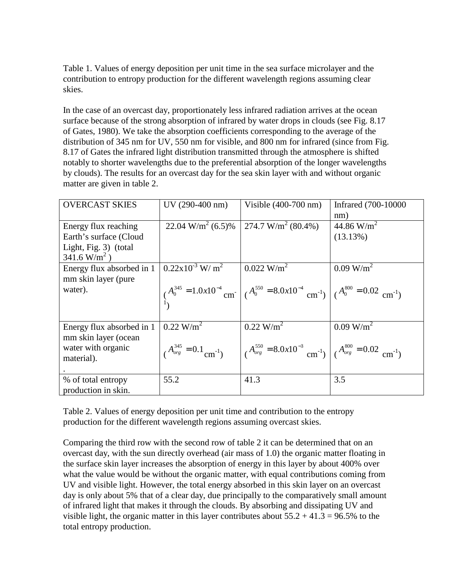Table 1. Values of energy deposition per unit time in the sea surface microlayer and the contribution to entropy production for the different wavelength regions assuming clear skies.

In the case of an overcast day, proportionately less infrared radiation arrives at the ocean surface because of the strong absorption of infrared by water drops in clouds (see Fig. 8.17 of Gates, 1980). We take the absorption coefficients corresponding to the average of the distribution of 345 nm for UV, 550 nm for visible, and 800 nm for infrared (since from Fig. 8.17 of Gates the infrared light distribution transmitted through the atmosphere is shifted notably to shorter wavelengths due to the preferential absorption of the longer wavelengths by clouds). The results for an overcast day for the sea skin layer with and without organic matter are given in table 2.

| <b>OVERCAST SKIES</b>     | UV (290-400 nm)                          | Visible $(400-700$ nm)                                                                                                            | Infrared (700-10000   |
|---------------------------|------------------------------------------|-----------------------------------------------------------------------------------------------------------------------------------|-----------------------|
|                           |                                          |                                                                                                                                   | nm)                   |
| Energy flux reaching      | 22.04 W/m <sup>2</sup> (6.5)%            | 274.7 W/m <sup>2</sup> (80.4%)                                                                                                    | 44.86 $W/m^2$         |
| Earth's surface (Cloud    |                                          |                                                                                                                                   | (13.13%)              |
| Light, Fig. 3) (total     |                                          |                                                                                                                                   |                       |
| $341.6 \text{ W/m}^2$ )   |                                          |                                                                                                                                   |                       |
| Energy flux absorbed in 1 | $0.22 \times 10^{-3}$ W/m <sup>2</sup>   | $0.022$ W/m <sup>2</sup>                                                                                                          | 0.09 W/m <sup>2</sup> |
| mm skin layer (pure       |                                          |                                                                                                                                   |                       |
| water).                   |                                          | $A_0^{345} = 1.0x10^{-4}$ cm <sup>-1</sup> ( $A_0^{550} = 8.0x10^{-4}$ cm <sup>-1</sup> ) ( $A_0^{800} = 0.02$ cm <sup>-1</sup> ) |                       |
|                           |                                          |                                                                                                                                   |                       |
|                           |                                          |                                                                                                                                   |                       |
|                           |                                          |                                                                                                                                   |                       |
| Energy flux absorbed in 1 | $0.22$ W/m <sup>2</sup>                  | $0.22$ W/m <sup>2</sup>                                                                                                           | 0.09 W/m <sup>2</sup> |
| mm skin layer (ocean      |                                          |                                                                                                                                   |                       |
| water with organic        | $A_{org}^{345} = 0.1$ cm <sup>-1</sup> ) | $A_{org}^{550} = 8.0x10^{-3}$ cm <sup>-1</sup> ) $\left( A_{org}^{800} = 0.02$ cm <sup>-1</sup> )                                 |                       |
| material).                |                                          |                                                                                                                                   |                       |
|                           |                                          |                                                                                                                                   |                       |
| % of total entropy        | 55.2                                     | 41.3                                                                                                                              | 3.5                   |
| production in skin.       |                                          |                                                                                                                                   |                       |

Table 2. Values of energy deposition per unit time and contribution to the entropy production for the different wavelength regions assuming overcast skies.

Comparing the third row with the second row of table 2 it can be determined that on an overcast day, with the sun directly overhead (air mass of 1.0) the organic matter floating in the surface skin layer increases the absorption of energy in this layer by about 400% over what the value would be without the organic matter, with equal contributions coming from UV and visible light. However, the total energy absorbed in this skin layer on an overcast day is only about 5% that of a clear day, due principally to the comparatively small amount of infrared light that makes it through the clouds. By absorbing and dissipating UV and visible light, the organic matter in this layer contributes about  $55.2 + 41.3 = 96.5\%$  to the total entropy production.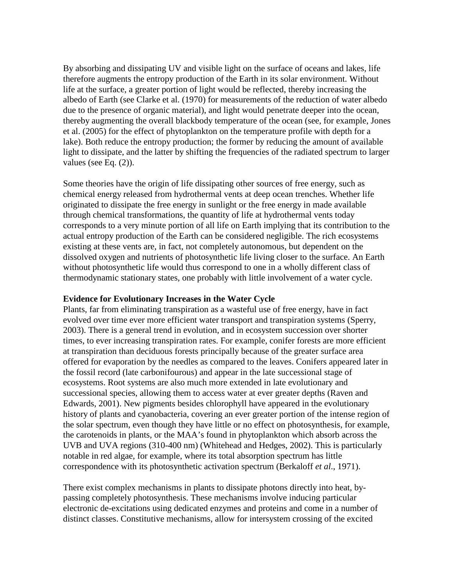By absorbing and dissipating UV and visible light on the surface of oceans and lakes, life therefore augments the entropy production of the Earth in its solar environment. Without life at the surface, a greater portion of light would be reflected, thereby increasing the albedo of Earth (see Clarke et al. (1970) for measurements of the reduction of water albedo due to the presence of organic material), and light would penetrate deeper into the ocean, thereby augmenting the overall blackbody temperature of the ocean (see, for example, Jones et al. (2005) for the effect of phytoplankton on the temperature profile with depth for a lake). Both reduce the entropy production; the former by reducing the amount of available light to dissipate, and the latter by shifting the frequencies of the radiated spectrum to larger values (see Eq. (2)).

Some theories have the origin of life dissipating other sources of free energy, such as chemical energy released from hydrothermal vents at deep ocean trenches. Whether life originated to dissipate the free energy in sunlight or the free energy in made available through chemical transformations, the quantity of life at hydrothermal vents today corresponds to a very minute portion of all life on Earth implying that its contribution to the actual entropy production of the Earth can be considered negligible. The rich ecosystems existing at these vents are, in fact, not completely autonomous, but dependent on the dissolved oxygen and nutrients of photosynthetic life living closer to the surface. An Earth without photosynthetic life would thus correspond to one in a wholly different class of thermodynamic stationary states, one probably with little involvement of a water cycle.

# **Evidence for Evolutionary Increases in the Water Cycle**

Plants, far from eliminating transpiration as a wasteful use of free energy, have in fact evolved over time ever more efficient water transport and transpiration systems (Sperry, 2003). There is a general trend in evolution, and in ecosystem succession over shorter times, to ever increasing transpiration rates. For example, conifer forests are more efficient at transpiration than deciduous forests principally because of the greater surface area offered for evaporation by the needles as compared to the leaves. Conifers appeared later in the fossil record (late carbonifourous) and appear in the late successional stage of ecosystems. Root systems are also much more extended in late evolutionary and successional species, allowing them to access water at ever greater depths (Raven and Edwards, 2001). New pigments besides chlorophyll have appeared in the evolutionary history of plants and cyanobacteria, covering an ever greater portion of the intense region of the solar spectrum, even though they have little or no effect on photosynthesis, for example, the carotenoids in plants, or the MAA's found in phytoplankton which absorb across the UVB and UVA regions (310-400 nm) (Whitehead and Hedges, 2002). This is particularly notable in red algae, for example, where its total absorption spectrum has little correspondence with its photosynthetic activation spectrum (Berkaloff *et al*., 1971).

There exist complex mechanisms in plants to dissipate photons directly into heat, bypassing completely photosynthesis. These mechanisms involve inducing particular electronic de-excitations using dedicated enzymes and proteins and come in a number of distinct classes. Constitutive mechanisms, allow for intersystem crossing of the excited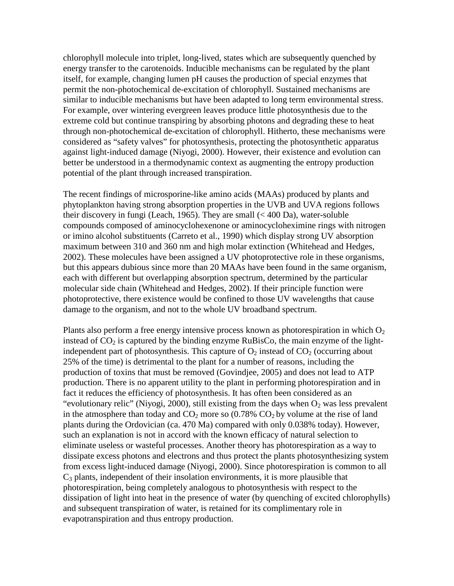chlorophyll molecule into triplet, long-lived, states which are subsequently quenched by energy transfer to the carotenoids. Inducible mechanisms can be regulated by the plant itself, for example, changing lumen pH causes the production of special enzymes that permit the non-photochemical de-excitation of chlorophyll. Sustained mechanisms are similar to inducible mechanisms but have been adapted to long term environmental stress. For example, over wintering evergreen leaves produce little photosynthesis due to the extreme cold but continue transpiring by absorbing photons and degrading these to heat through non-photochemical de-excitation of chlorophyll. Hitherto, these mechanisms were considered as "safety valves" for photosynthesis, protecting the photosynthetic apparatus against light-induced damage (Niyogi, 2000). However, their existence and evolution can better be understood in a thermodynamic context as augmenting the entropy production potential of the plant through increased transpiration.

The recent findings of microsporine-like amino acids (MAAs) produced by plants and phytoplankton having strong absorption properties in the UVB and UVA regions follows their discovery in fungi (Leach, 1965). They are small (< 400 Da), water-soluble compounds composed of aminocyclohexenone or aminocycloheximine rings with nitrogen or imino alcohol substituents (Carreto et al., 1990) which display strong UV absorption maximum between 310 and 360 nm and high molar extinction (Whitehead and Hedges, 2002). These molecules have been assigned a UV photoprotective role in these organisms, but this appears dubious since more than 20 MAAs have been found in the same organism, each with different but overlapping absorption spectrum, determined by the particular molecular side chain (Whitehead and Hedges, 2002). If their principle function were photoprotective, there existence would be confined to those UV wavelengths that cause damage to the organism, and not to the whole UV broadband spectrum.

Plants also perform a free energy intensive process known as photorespiration in which  $O<sub>2</sub>$ instead of  $CO<sub>2</sub>$  is captured by the binding enzyme RuBisCo, the main enzyme of the lightindependent part of photosynthesis. This capture of  $O_2$  instead of  $CO_2$  (occurring about 25% of the time) is detrimental to the plant for a number of reasons, including the production of toxins that must be removed (Govindjee, 2005) and does not lead to ATP production. There is no apparent utility to the plant in performing photorespiration and in fact it reduces the efficiency of photosynthesis. It has often been considered as an "evolutionary relic" (Niyogi, 2000), still existing from the days when  $O_2$  was less prevalent in the atmosphere than today and  $CO_2$  more so (0.78%  $CO_2$  by volume at the rise of land plants during the Ordovician (ca. 470 Ma) compared with only 0.038% today). However, such an explanation is not in accord with the known efficacy of natural selection to eliminate useless or wasteful processes. Another theory has photorespiration as a way to dissipate excess photons and electrons and thus protect the plants photosynthesizing system from excess light-induced damage (Niyogi, 2000). Since photorespiration is common to all  $C_3$  plants, independent of their insolation environments, it is more plausible that photorespiration, being completely analogous to photosynthesis with respect to the dissipation of light into heat in the presence of water (by quenching of excited chlorophylls) and subsequent transpiration of water, is retained for its complimentary role in evapotranspiration and thus entropy production.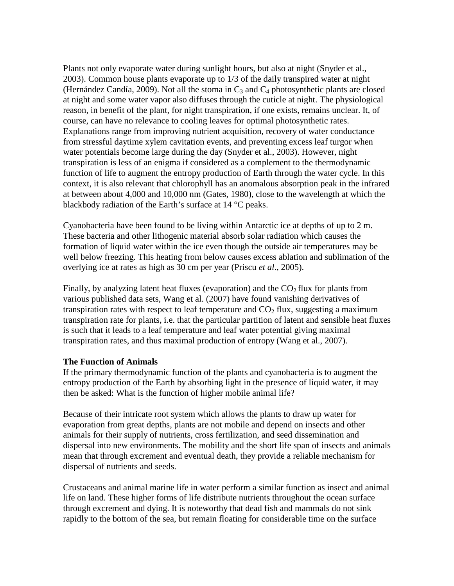Plants not only evaporate water during sunlight hours, but also at night (Snyder et al., 2003). Common house plants evaporate up to 1/3 of the daily transpired water at night (Hernández Candía, 2009). Not all the stoma in  $C_3$  and  $C_4$  photosynthetic plants are closed at night and some water vapor also diffuses through the cuticle at night. The physiological reason, in benefit of the plant, for night transpiration, if one exists, remains unclear. It, of course, can have no relevance to cooling leaves for optimal photosynthetic rates. Explanations range from improving nutrient acquisition, recovery of water conductance from stressful daytime xylem cavitation events, and preventing excess leaf turgor when water potentials become large during the day (Snyder et al., 2003). However, night transpiration is less of an enigma if considered as a complement to the thermodynamic function of life to augment the entropy production of Earth through the water cycle. In this context, it is also relevant that chlorophyll has an anomalous absorption peak in the infrared at between about 4,000 and 10,000 nm (Gates, 1980), close to the wavelength at which the blackbody radiation of the Earth's surface at 14 °C peaks.

Cyanobacteria have been found to be living within Antarctic ice at depths of up to 2 m. These bacteria and other lithogenic material absorb solar radiation which causes the formation of liquid water within the ice even though the outside air temperatures may be well below freezing. This heating from below causes excess ablation and sublimation of the overlying ice at rates as high as 30 cm per year (Priscu *et al*., 2005).

Finally, by analyzing latent heat fluxes (evaporation) and the  $CO<sub>2</sub>$  flux for plants from various published data sets, Wang et al. (2007) have found vanishing derivatives of transpiration rates with respect to leaf temperature and  $CO<sub>2</sub>$  flux, suggesting a maximum transpiration rate for plants, i.e. that the particular partition of latent and sensible heat fluxes is such that it leads to a leaf temperature and leaf water potential giving maximal transpiration rates, and thus maximal production of entropy (Wang et al., 2007).

# **The Function of Animals**

If the primary thermodynamic function of the plants and cyanobacteria is to augment the entropy production of the Earth by absorbing light in the presence of liquid water, it may then be asked: What is the function of higher mobile animal life?

Because of their intricate root system which allows the plants to draw up water for evaporation from great depths, plants are not mobile and depend on insects and other animals for their supply of nutrients, cross fertilization, and seed dissemination and dispersal into new environments. The mobility and the short life span of insects and animals mean that through excrement and eventual death, they provide a reliable mechanism for dispersal of nutrients and seeds.

Crustaceans and animal marine life in water perform a similar function as insect and animal life on land. These higher forms of life distribute nutrients throughout the ocean surface through excrement and dying. It is noteworthy that dead fish and mammals do not sink rapidly to the bottom of the sea, but remain floating for considerable time on the surface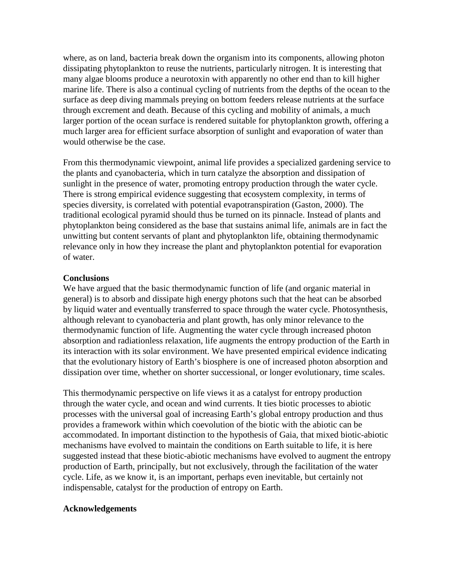where, as on land, bacteria break down the organism into its components, allowing photon dissipating phytoplankton to reuse the nutrients, particularly nitrogen. It is interesting that many algae blooms produce a neurotoxin with apparently no other end than to kill higher marine life. There is also a continual cycling of nutrients from the depths of the ocean to the surface as deep diving mammals preying on bottom feeders release nutrients at the surface through excrement and death. Because of this cycling and mobility of animals, a much larger portion of the ocean surface is rendered suitable for phytoplankton growth, offering a much larger area for efficient surface absorption of sunlight and evaporation of water than would otherwise be the case.

From this thermodynamic viewpoint, animal life provides a specialized gardening service to the plants and cyanobacteria, which in turn catalyze the absorption and dissipation of sunlight in the presence of water, promoting entropy production through the water cycle. There is strong empirical evidence suggesting that ecosystem complexity, in terms of species diversity, is correlated with potential evapotranspiration (Gaston, 2000). The traditional ecological pyramid should thus be turned on its pinnacle. Instead of plants and phytoplankton being considered as the base that sustains animal life, animals are in fact the unwitting but content servants of plant and phytoplankton life, obtaining thermodynamic relevance only in how they increase the plant and phytoplankton potential for evaporation of water.

# **Conclusions**

We have argued that the basic thermodynamic function of life (and organic material in general) is to absorb and dissipate high energy photons such that the heat can be absorbed by liquid water and eventually transferred to space through the water cycle. Photosynthesis, although relevant to cyanobacteria and plant growth, has only minor relevance to the thermodynamic function of life. Augmenting the water cycle through increased photon absorption and radiationless relaxation, life augments the entropy production of the Earth in its interaction with its solar environment. We have presented empirical evidence indicating that the evolutionary history of Earth's biosphere is one of increased photon absorption and dissipation over time, whether on shorter successional, or longer evolutionary, time scales.

This thermodynamic perspective on life views it as a catalyst for entropy production through the water cycle, and ocean and wind currents. It ties biotic processes to abiotic processes with the universal goal of increasing Earth's global entropy production and thus provides a framework within which coevolution of the biotic with the abiotic can be accommodated. In important distinction to the hypothesis of Gaia, that mixed biotic-abiotic mechanisms have evolved to maintain the conditions on Earth suitable to life, it is here suggested instead that these biotic-abiotic mechanisms have evolved to augment the entropy production of Earth, principally, but not exclusively, through the facilitation of the water cycle. Life, as we know it, is an important, perhaps even inevitable, but certainly not indispensable, catalyst for the production of entropy on Earth.

# **Acknowledgements**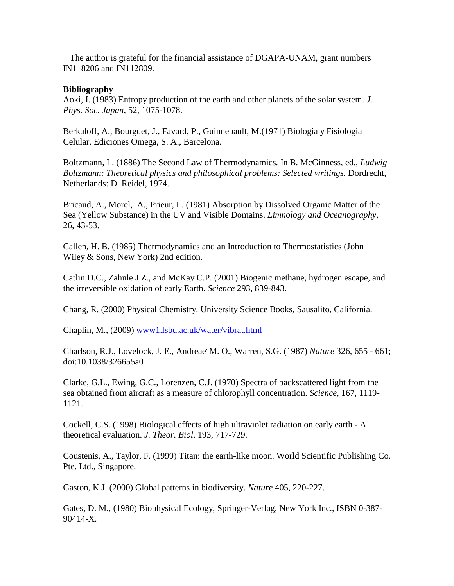The author is grateful for the financial assistance of DGAPA-UNAM, grant numbers IN118206 and IN112809.

# **Bibliography**

Aoki, I. (1983) Entropy production of the earth and other planets of the solar system. *J. Phys. Soc. Japan*, 52, 1075-1078.

Berkaloff, A., Bourguet, J., Favard, P., Guinnebault, M.(1971) Biologia y Fisiologia Celular. Ediciones Omega, S. A., Barcelona.

Boltzmann, L. (1886) The Second Law of Thermodynamics*.* In B. McGinness, ed., *Ludwig Boltzmann: Theoretical physics and philosophical problems: Selected writings.* Dordrecht, Netherlands: D. Reidel, 1974.

Bricaud, A., Morel, A., Prieur, L. (1981) Absorption by Dissolved Organic Matter of the Sea (Yellow Substance) in the UV and Visible Domains. *Limnology and Oceanography*, 26, 43-53.

Callen, H. B. (1985) Thermodynamics and an Introduction to Thermostatistics (John Wiley & Sons, New York) 2nd edition.

Catlin D.C., Zahnle J.Z., and McKay C.P. (2001) Biogenic methane, hydrogen escape, and the irreversible oxidation of early Earth. *Science* 293, 839-843.

Chang, R. (2000) Physical Chemistry. University Science Books, Sausalito, California.

Chaplin, M., (2009) www1.lsbu.ac.uk/water/vibrat.html

Charlson, R.J., Lovelock, J. E., Andreae, M. O., Warren, S.G. (1987) *Nature* 326, 655 - 661; doi:10.1038/326655a0

Clarke, G.L., Ewing, G.C., Lorenzen, C.J. (1970) Spectra of backscattered light from the sea obtained from aircraft as a measure of chlorophyll concentration. *Science,* 167, 1119- 1121.

Cockell, C.S. (1998) Biological effects of high ultraviolet radiation on early earth - A theoretical evaluation. *J. Theor. Biol*. 193, 717-729.

Coustenis, A., Taylor, F. (1999) Titan: the earth-like moon. World Scientific Publishing Co. Pte. Ltd., Singapore.

Gaston, K.J. (2000) Global patterns in biodiversity. *Nature* 405, 220-227.

Gates, D. M., (1980) Biophysical Ecology, Springer-Verlag, New York Inc., ISBN 0-387- 90414-X.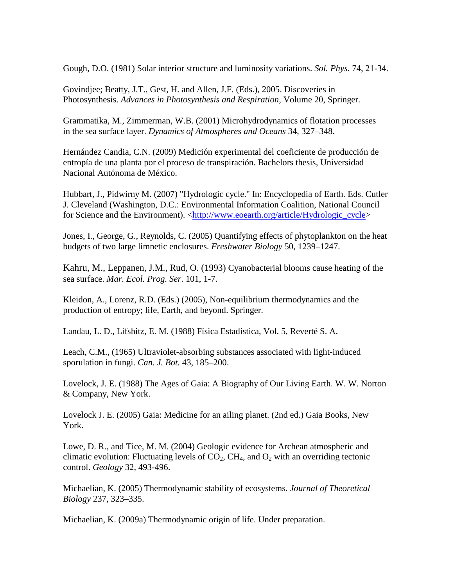Gough, D.O. (1981) Solar interior structure and luminosity variations. *Sol. Phys.* 74, 21-34.

Govindjee; Beatty, J.T., Gest, H. and Allen, J.F. (Eds.), 2005. Discoveries in Photosynthesis. *Advances in Photosynthesis and Respiration*, Volume 20, Springer.

Grammatika, M., Zimmerman, W.B. (2001) Microhydrodynamics of flotation processes in the sea surface layer. *Dynamics of Atmospheres and Oceans* 34, 327–348.

Hernández Candia, C.N. (2009) Medición experimental del coeficiente de producción de entropía de una planta por el proceso de transpiración. Bachelors thesis, Universidad Nacional Autónoma de México.

Hubbart, J., Pidwirny M. (2007) "Hydrologic cycle." In: Encyclopedia of Earth. Eds. Cutler J. Cleveland (Washington, D.C.: Environmental Information Coalition, National Council for Science and the Environment). <http://www.eoearth.org/article/Hydrologic\_cycle>

Jones, I., George, G., Reynolds, C. (2005) Quantifying effects of phytoplankton on the heat budgets of two large limnetic enclosures. *Freshwater Biology* 50, 1239–1247.

Kahru, M., Leppanen, J.M., Rud, O. (1993) Cyanobacterial blooms cause heating of the sea surface. *Mar. Ecol. Prog. Ser*. 101, 1-7.

Kleidon, A., Lorenz, R.D. (Eds.) (2005), Non-equilibrium thermodynamics and the production of entropy; life, Earth, and beyond. Springer.

Landau, L. D., Lifshitz, E. M. (1988) Física Estadística, Vol. 5, Reverté S. A.

Leach, C.M., (1965) Ultraviolet-absorbing substances associated with light-induced sporulation in fungi. *Can. J. Bot.* 43, 185–200.

Lovelock, J. E. (1988) The Ages of Gaia: A Biography of Our Living Earth. W. W. Norton & Company, New York.

Lovelock J. E. (2005) Gaia: Medicine for an ailing planet. (2nd ed.) Gaia Books, New York.

Lowe, D. R., and Tice, M. M. (2004) Geologic evidence for Archean atmospheric and climatic evolution: Fluctuating levels of  $CO<sub>2</sub>$ , CH<sub>4</sub>, and  $O<sub>2</sub>$  with an overriding tectonic control. *Geology* 32, 493-496.

Michaelian, K. (2005) Thermodynamic stability of ecosystems. *Journal of Theoretical Biology* 237, 323–335.

Michaelian, K. (2009a) Thermodynamic origin of life. Under preparation.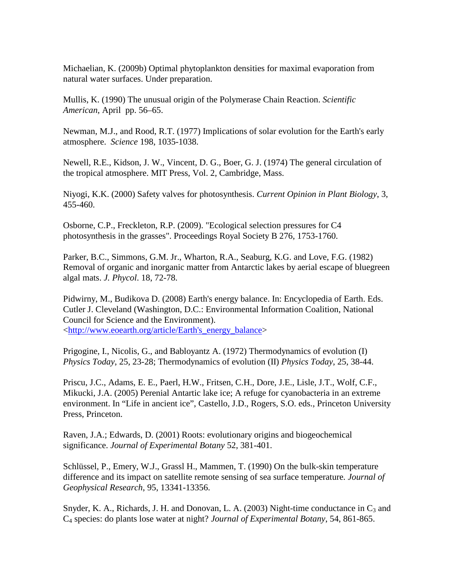Michaelian, K. (2009b) Optimal phytoplankton densities for maximal evaporation from natural water surfaces. Under preparation.

Mullis, K. (1990) The unusual origin of the Polymerase Chain Reaction. *Scientific American*, April pp. 56–65.

Newman, M.J., and Rood, R.T. (1977) Implications of solar evolution for the Earth's early atmosphere. *Science* 198, 1035-1038.

Newell, R.E., Kidson, J. W., Vincent, D. G., Boer, G. J. (1974) The general circulation of the tropical atmosphere. MIT Press, Vol. 2, Cambridge, Mass.

Niyogi, K.K. (2000) Safety valves for photosynthesis. *Current Opinion in Plant Biology*, 3, 455-460.

Osborne, C.P., Freckleton, R.P. (2009). "Ecological selection pressures for C4 photosynthesis in the grasses". Proceedings Royal Society B 276, 1753-1760.

Parker, B.C., Simmons, G.M. Jr., Wharton, R.A., Seaburg, K.G. and Love, F.G. (1982) Removal of organic and inorganic matter from Antarctic lakes by aerial escape of bluegreen algal mats. *J. Phycol*. 18, 72-78.

Pidwirny, M., Budikova D. (2008) Earth's energy balance. In: Encyclopedia of Earth. Eds. Cutler J. Cleveland (Washington, D.C.: Environmental Information Coalition, National Council for Science and the Environment). <http://www.eoearth.org/article/Earth's\_energy\_balance>

Prigogine, I., Nicolis, G., and Babloyantz A. (1972) Thermodynamics of evolution (I) *Physics Today*, 25, 23-28; Thermodynamics of evolution (II) *Physics Today*, 25, 38-44.

Priscu, J.C., Adams, E. E., Paerl, H.W., Fritsen, C.H., Dore, J.E., Lisle, J.T., Wolf, C.F., Mikucki, J.A. (2005) Perenial Antartic lake ice; A refuge for cyanobacteria in an extreme environment. In "Life in ancient ice", Castello, J.D., Rogers, S.O. eds., Princeton University Press, Princeton.

Raven, J.A.; Edwards, D. (2001) Roots: evolutionary origins and biogeochemical significance. *Journal of Experimental Botany* 52, 381-401.

Schlüssel, P., Emery, W.J., Grassl H., Mammen, T. (1990) On the bulk-skin temperature difference and its impact on satellite remote sensing of sea surface temperature*. Journal of Geophysical Research*, 95, 13341-13356.

Snyder, K. A., Richards, J. H. and Donovan, L. A. (2003) Night-time conductance in  $C_3$  and C4 species: do plants lose water at night? *Journal of Experimental Botany*, 54, 861-865.